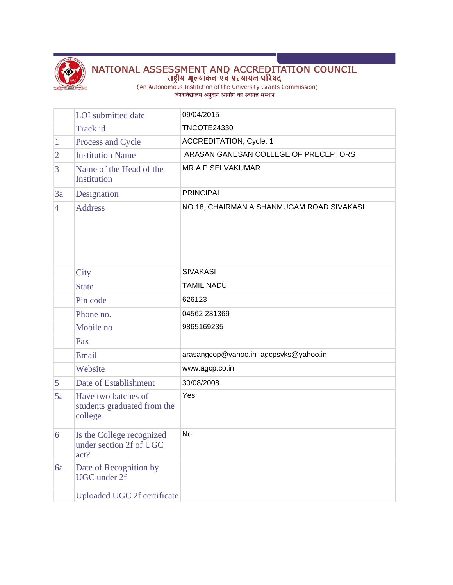

## NATIONAL ASSESSMENT AND ACCREDITATION COUNCIL<br>राष्ट्रीय मूल्यांकन एवं प्रत्यायन परिषद<br>(An Autonomous Institution of the University Grants Commission)<br>विश्वविद्यालय अनुदान आयोग का स्वायत्त संस्थान

|                | <b>LOI</b> submitted date                                     | 09/04/2015                                |
|----------------|---------------------------------------------------------------|-------------------------------------------|
|                | Track id                                                      | <b>TNCOTE24330</b>                        |
| $\mathbf{1}$   | Process and Cycle                                             | <b>ACCREDITATION, Cycle: 1</b>            |
| $\overline{2}$ | <b>Institution Name</b>                                       | ARASAN GANESAN COLLEGE OF PRECEPTORS      |
| 3              | Name of the Head of the<br>Institution                        | <b>MR.A P SELVAKUMAR</b>                  |
| 3a             | Designation                                                   | <b>PRINCIPAL</b>                          |
| $\overline{4}$ | <b>Address</b>                                                | NO.18, CHAIRMAN A SHANMUGAM ROAD SIVAKASI |
|                | City                                                          | <b>SIVAKASI</b>                           |
|                | <b>State</b>                                                  | <b>TAMIL NADU</b>                         |
|                | Pin code                                                      | 626123                                    |
|                | Phone no.                                                     | 04562 231369                              |
|                | Mobile no                                                     | 9865169235                                |
|                | Fax                                                           |                                           |
|                | Email                                                         | arasangcop@yahoo.in agcpsvks@yahoo.in     |
|                | Website                                                       | www.agcp.co.in                            |
| 5              | Date of Establishment                                         | 30/08/2008                                |
| 5a             | Have two batches of<br>students graduated from the<br>college | Yes                                       |
| 6              | Is the College recognized<br>under section 2f of UGC<br>act?  | <b>No</b>                                 |
| 6a             | Date of Recognition by<br><b>UGC</b> under 2f                 |                                           |
|                | Uploaded UGC 2f certificate                                   |                                           |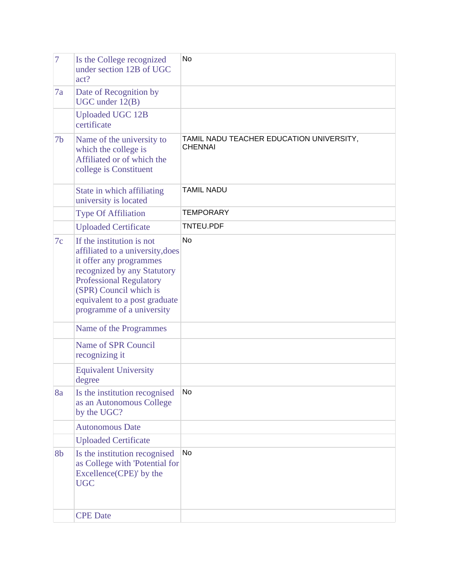| $\overline{7}$ | Is the College recognized<br>under section 12B of UGC<br>act?                                                                                                                                                                                     | <b>No</b>                                                  |
|----------------|---------------------------------------------------------------------------------------------------------------------------------------------------------------------------------------------------------------------------------------------------|------------------------------------------------------------|
| 7a             | Date of Recognition by<br>$UGC$ under $12(B)$                                                                                                                                                                                                     |                                                            |
|                | <b>Uploaded UGC 12B</b><br>certificate                                                                                                                                                                                                            |                                                            |
| 7 <sub>b</sub> | Name of the university to<br>which the college is<br>Affiliated or of which the<br>college is Constituent                                                                                                                                         | TAMIL NADU TEACHER EDUCATION UNIVERSITY,<br><b>CHENNAI</b> |
|                | State in which affiliating<br>university is located                                                                                                                                                                                               | <b>TAMIL NADU</b>                                          |
|                | <b>Type Of Affiliation</b>                                                                                                                                                                                                                        | <b>TEMPORARY</b>                                           |
|                | <b>Uploaded Certificate</b>                                                                                                                                                                                                                       | <b>TNTEU.PDF</b>                                           |
| 7c             | If the institution is not<br>affiliated to a university, does<br>it offer any programmes<br>recognized by any Statutory<br><b>Professional Regulatory</b><br>(SPR) Council which is<br>equivalent to a post graduate<br>programme of a university | <b>No</b>                                                  |
|                | Name of the Programmes                                                                                                                                                                                                                            |                                                            |
|                | Name of SPR Council<br>recognizing it                                                                                                                                                                                                             |                                                            |
|                | <b>Equivalent University</b><br>degree                                                                                                                                                                                                            |                                                            |
| 8a             | Is the institution recognised<br>as an Autonomous College<br>by the UGC?                                                                                                                                                                          | No.                                                        |
|                | <b>Autonomous Date</b>                                                                                                                                                                                                                            |                                                            |
|                | <b>Uploaded Certificate</b>                                                                                                                                                                                                                       |                                                            |
| 8b             | Is the institution recognised<br>as College with 'Potential for<br>Excellence(CPE)' by the<br><b>UGC</b>                                                                                                                                          | <b>No</b>                                                  |
|                | <b>CPE</b> Date                                                                                                                                                                                                                                   |                                                            |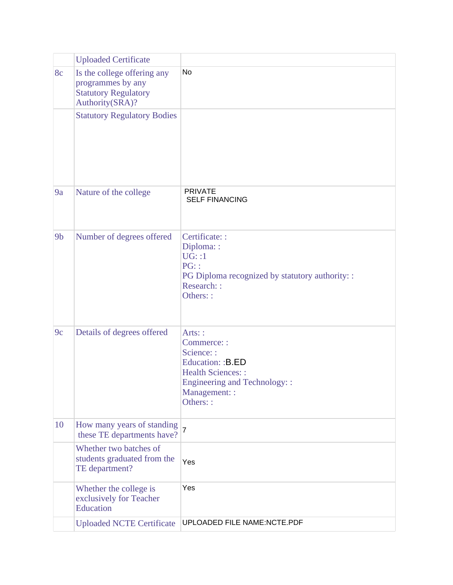|                | <b>Uploaded Certificate</b>                                                                        |                                                                                                                                                   |
|----------------|----------------------------------------------------------------------------------------------------|---------------------------------------------------------------------------------------------------------------------------------------------------|
| 8c             | Is the college offering any<br>programmes by any<br><b>Statutory Regulatory</b><br>Authority(SRA)? | No.                                                                                                                                               |
|                | <b>Statutory Regulatory Bodies</b>                                                                 |                                                                                                                                                   |
| 9a             | Nature of the college                                                                              | <b>PRIVATE</b><br><b>SELF FINANCING</b>                                                                                                           |
| 9 <sub>b</sub> | Number of degrees offered                                                                          | Certificate: :<br>Diploma: :<br>UG: : 1<br>PG:<br>PG Diploma recognized by statutory authority: :<br>Research: :<br>Others::                      |
| 9c             | Details of degrees offered                                                                         | Arts: :<br>Commerce: :<br>Science: :<br>Education: :B.ED<br><b>Health Sciences::</b><br>Engineering and Technology::<br>Management: :<br>Others:: |
| 10             | How many years of standing<br>these TE departments have?                                           | $\overline{7}$                                                                                                                                    |
|                | Whether two batches of<br>students graduated from the<br>TE department?                            | Yes                                                                                                                                               |
|                | Whether the college is<br>exclusively for Teacher<br>Education                                     | Yes                                                                                                                                               |
|                | <b>Uploaded NCTE Certificate</b>                                                                   | UPLOADED FILE NAME:NCTE.PDF                                                                                                                       |